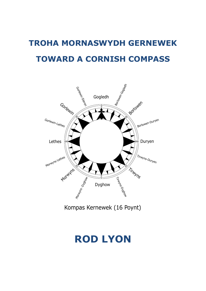# **TROHA MORNASWYDH GERNEWEK TOWARD A CORNISH COMPASS**



Kompas Kernewek (16 Poynt)

# **ROD LYON**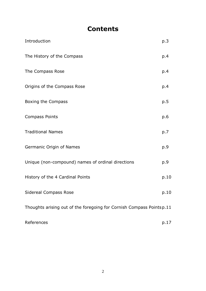# **Contents**

| Introduction                                                         | p.3  |
|----------------------------------------------------------------------|------|
| The History of the Compass                                           | p.4  |
| The Compass Rose                                                     | p.4  |
| Origins of the Compass Rose                                          | p.4  |
| Boxing the Compass                                                   | p.5  |
| <b>Compass Points</b>                                                | p.6  |
| <b>Traditional Names</b>                                             | p.7  |
| Germanic Origin of Names                                             | p.9  |
| Unique (non-compound) names of ordinal directions                    | p.9  |
| History of the 4 Cardinal Points                                     | p.10 |
| <b>Sidereal Compass Rose</b>                                         | p.10 |
| Thoughts arising out of the foregoing for Cornish Compass Pointsp.11 |      |
| References                                                           | p.17 |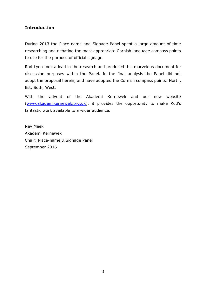## **Introduction**

During 2013 the Place-name and Signage Panel spent a large amount of time researching and debating the most appropriate Cornish language compass points to use for the purpose of official signage.

Rod Lyon took a lead in the research and produced this marvelous document for discussion purposes within the Panel. In the final analysis the Panel did not adopt the proposal herein, and have adopted the Cornish compass points: North, Est, Soth, West.

With the advent of the Akademi Kernewek and our new website [\(www.akademikernewek.org.uk\)](http://www.akademikernewek.org.uk/), it provides the opportunity to make Rod's fantastic work available to a wider audience.

Nev Meek Akademi Kernewek Chair: Place-name & Signage Panel September 2016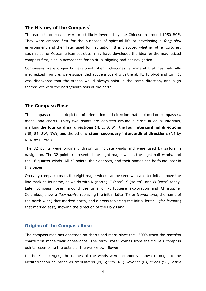#### **The History of the Compass<sup>1</sup>**

The [earliest compasses](http://inventors.about.com/od/cstartinventions/a/Compass.htm) were most likely invented by the Chinese in around 1050 BCE. They were created first for the purposes of spiritual life or developing a *feng shui* environment and then later used for navigation. It is disputed whether other cultures, such as some Mesoamerican societies, may have developed the idea for the magnetized compass first, also in accordance for spiritual aligning and not navigation.

Compasses were originally developed when lodestones, a mineral that has naturally magnetized iron ore, were suspended above a board with the ability to pivot and turn. It was discovered that the stones would always point in the same direction, and align themselves with the north/south axis of the earth.

#### **The Compass Rose**

The compass rose is a depiction of orientation and direction that is placed on compasses, maps, and charts. Thirty-two points are depicted around a circle in equal intervals, marking the **four cardinal directions** (N, E, S, W), the **four intercardinal directions** (NE, SE, SW, NW), and the other **sixteen secondary intercardinal directions** (NE by N, N by E, etc.).

The 32 points were originally drawn to indicate winds and were used by sailors in navigation. The 32 points represented the eight major winds, the eight half-winds, and the 16 quarter-winds. All 32 points, their degrees, and their names can be found later in this paper.

On early compass roses, the eight major winds can be seen with a letter initial above the line marking its name, as we do with N (north), E (east), S (south), and W (west) today. Later compass roses, around the time of Portuguese exploration and Christopher Columbus, show a *fleur-de-lys* replacing the initial letter T (for *tramontana*, the name of the north wind) that marked north, and a cross replacing the initial letter L (for *levante*) that marked east, showing the direction of the Holy Land.

#### **Origins of the Compass Rose**

The compass rose has appeared on charts and maps since the 1300's when the *portolan*  charts first made their appearance. The term "rose" comes from the figure's compass points resembling the petals of the well-known flower.

In the Middle Ages, the names of the winds were commonly known throughout the Mediterranean countries as *tramontana* (N), *greco* (NE), *levante* (E), *siroco* (SE), *ostro*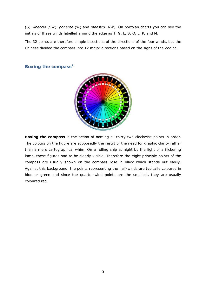(S), *libeccio* (SW), *ponente* (W) and *maestro* (NW). On portolan charts you can see the initials of these winds labelled around the edge as T, G, L, S, O, L, P, and M.

The 32 points are therefore simple bisections of the directions of the four winds, but the Chinese divided the compass into 12 major directions based on the signs of the Zodiac.

### **Boxing the compass<sup>2</sup>**



**Boxing the compass** is the action of naming all thirty-two [clockwise](http://en.wikipedia.org/wiki/Clockwise_and_counterclockwise) points in order. The colours on the figure are supposedly the result of the need for graphic clarity rather than a mere cartographical whim. On a rolling ship at night by the light of a flickering lamp, these figures had to be clearly visible. Therefore the eight principle points of the compass are usually shown on the compass rose in black which stands out easily. Against this background, the points representing the half-winds are typically coloured in blue or green and since the quarter-wind points are the smallest, they are usually coloured red.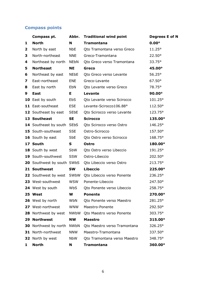# **Compass points**

|   | Compass pt.                  | Abbr.                  | <b>Traditional wind point</b> | Degrees E of N |
|---|------------------------------|------------------------|-------------------------------|----------------|
| 1 | <b>North</b>                 | N                      | <b>Tramontana</b>             | $0.00^\circ$   |
| 2 | North by east                | <b>NbE</b>             | Qto Tramontana verso Greco    | $11.25^\circ$  |
| 3 | North-northeast              | <b>NNE</b>             | Greco-Tramontana              | 22.50°         |
| 4 | Northeast by north           | NEbN                   | Qto Greco verso Tramontana    | 33.75°         |
| 5 | <b>Northeast</b>             | <b>NE</b>              | Greco                         | 45.00°         |
| 6 | Northeast by east            | <b>NEbE</b>            | Qto Greco verso Levante       | 56.25°         |
| 7 | East-northeast               | <b>ENE</b>             | Greco-Levante                 | 67.50°         |
| 8 | East by north                | EbN                    | Qto Levante verso Greco       | 78.75°         |
| 9 | <b>East</b>                  | Е                      | Levante                       | $90.00^\circ$  |
|   | 10 East by south             | <b>EbS</b>             | Qto Levante verso Scirocco    | 101.25°        |
|   | 11 East-southeast            | <b>ESE</b>             | Levante-Scirocco106.88°       | 112.50°        |
|   | 12 Southeast by east         | <b>SE<sub>bE</sub></b> | Qto Scirocco verso Levante    | 123.75°        |
|   | 13 Southeast                 | <b>SE</b>              | <b>Scirocco</b>               | 135.00°        |
|   | 14 Southeast by south SEbS   |                        | Qto Scirocco verso Ostro      | 146.25°        |
|   | 15 South-southeast           | <b>SSE</b>             | Ostro-Scirocco                | 157.50°        |
|   | 16 South by east             | <b>SbE</b>             | Qto Ostro verso Scirocco      | 168.75°        |
|   | 17 South                     | S                      | <b>Ostro</b>                  | 180.00°        |
|   | 18 South by west             | SbW                    | Qto Ostro verso Libeccio      | 191.25°        |
|   | 19 South-southwest           | SSW                    | Ostro-Libeccio                | 202.50°        |
|   | 20 Southwest by south SWbS   |                        | Qto Libeccio verso Ostro      | 213.75°        |
|   | 21 Southwest                 | <b>SW</b>              | <b>Libeccio</b>               | 225.00°        |
|   | 22 Southwest by west SWbW    |                        | Qto Libeccio verso Ponente    | 236.25°        |
|   | 23 West-southwest            | <b>WSW</b>             | Ponente-Libeccio              | 247.50°        |
|   | 24 West by south             | WbS                    | Qto Ponente verso Libeccio    | 258.75°        |
|   | 25 West                      | W                      | <b>Ponente</b>                | 270.00°        |
|   | 26 West by north             | WbN                    | Oto Ponente verso Maestro     | 281.25°        |
|   | 27 West-northwest            | WNW                    | Maestro-Ponente               | 292.50°        |
|   | 28 Northwest by west         | <b>NWbW</b>            | Qto Maestro verso Ponente     | 303.75°        |
|   | 29 Northwest                 | <b>NW</b>              | <b>Maestro</b>                | 315.00°        |
|   | <b>30</b> Northwest by north | NWbN                   | Qto Maestro verso Tramontana  | 326.25°        |
|   | 31 North-northwest           | <b>NNW</b>             | Maestro-Tramontana            | 337.50°        |
|   | 32 North by west             | NbW                    | Qto Tramontana verso Maestro  | 348.75°        |
|   |                              |                        |                               |                |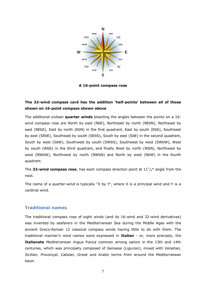

**A 16-point [compass rose](http://en.wikipedia.org/wiki/Compass_rose)**

### **The 32-wind compass card has the addition 'half-points' between all of those shown on 16-point compass shown above**

The additional sixteen **quarter winds** bisecting the angles between the points on a 16 wind compass rose are North by east (NbE), Northeast by north (NEbN), Northeast by east (NEbE), East by north (EbN) in the first quadrant, East by south (EbS), Southeast by east (SEbE), Southeast by south (SEbS), South by east (SbE) in the second quadrant, South by west (SbW), Southwest by south (SWbS), Southwest by west (SWbW), West by south (WbS) in the third quadrant, and finally West by north (WbN), Northwest by west (NWbW), Northwest by north (NWbN) and North by west (NbW) in the fourth quadrant.

The 32-wind compass rose, has each compass direction point at  $11^{1/4}$ ° angle from the next.

The name of a quarter-wind is typically "X by Y", where X is a principal wind and Y is a cardinal wind.

#### **Traditional names**

The traditional [compass rose](http://en.wikipedia.org/wiki/Compass_rose) of eight winds (and its 16-wind and 32-wind derivatives) was invented by seafarers in the [Mediterranean Sea](http://en.wikipedia.org/wiki/Mediterranean_Sea) during the [Middle Ages](http://en.wikipedia.org/wiki/Middle_Ages) with the ancient Greco-Roman 12 [classical compass winds](http://en.wikipedia.org/wiki/Classical_compass_winds) having little to do with them. The traditional mariner's wind names were expressed in **[Italian](http://en.wikipedia.org/wiki/Italian_language)** - or, more precisely, the **Italianate** *[Mediterranean lingua franca](http://en.wikipedia.org/wiki/Mediterranean_lingua_franca)* common among sailors in the 13th and 14th centuries, which was principally composed of Genoese (*[Ligurian](http://en.wikipedia.org/wiki/Ligurian_language_(Romance))*), mixed with *[Venetian,](http://en.wikipedia.org/wiki/Venetian_language) [Sicilian,](http://en.wikipedia.org/wiki/Sicilian_language) [Provençal,](http://en.wikipedia.org/wiki/Proven%C3%A7al_dialect) [Catalan,](http://en.wikipedia.org/wiki/Catalan_language) [Greek](http://en.wikipedia.org/wiki/Greek_language)* and *[Arabic](http://en.wikipedia.org/wiki/Arabic)* terms from around the Mediterranean basin.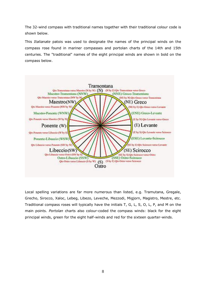The 32-wind compass with traditional names together with their traditional colour code is shown below.

This *Italianate* patois was used to designate the names of the principal winds on the [compass rose](http://en.wikipedia.org/wiki/Compass_rose) found in mariner [compasses](http://en.wikipedia.org/wiki/Compass) and [portolan charts](http://en.wikipedia.org/wiki/Portolan_chart) of the 14th and 15th centuries. The "traditional" names of the eight principal winds are shown in bold on the compass below.



Local spelling variations are far more numerous than listed, e.g. Tramutana, Gregale, Grecho, Sirocco, Xaloc, Lebeg, Libezo, Leveche, Mezzodi, Migjorn, Magistro, Mestre, etc. Traditional compass roses will typically have the initials T, G, L, S, O, L, P, and M on the main points. *[Portolan](http://en.wikipedia.org/wiki/Portolan_chart)* charts also colour-coded the compass winds: black for the eight principal winds, green for the eight half-winds and red for the sixteen quarter-winds.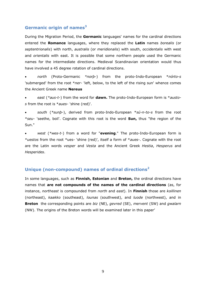### **Germanic origin of names<sup>3</sup>**

During the [Migration Period,](http://en.wikipedia.org/wiki/Migration_Period) the **[Germanic](http://en.wikipedia.org/wiki/Germanic_languages)** languages' names for the cardinal directions entered the **Romance** [languages,](http://en.wikipedia.org/wiki/Romance_languages) where they replaced the **[Latin](http://en.wikipedia.org/wiki/Latin)** names *borealis* (or *septentrionalis*) with north, *australis* (or *meridionalis*) with south, *occidentalis* with west and *orientalis* with east. It is possible that some northern people used the Germanic names for the intermediate directions. Medieval Scandinavian orientation would thus have involved a 45 degree rotation of cardinal directions.

 *north* [\(Proto-Germanic](http://en.wikipedia.org/wiki/Proto-Germanic) *\*norþ-*) from the [proto-Indo-European](http://en.wikipedia.org/wiki/Proto-Indo-European) \**nórto-s* 'submerged' from the root \**ner-* 'left, below, to the left of the rising sun' whence comes the [Ancient Greek](http://en.wikipedia.org/wiki/Ancient_Greek) name **[Nereus](http://en.wikipedia.org/wiki/Nereus)**

 *east* (*\*aus-t-*) from the word for **[dawn.](http://en.wikipedia.org/wiki/Dawn)** The [proto-Indo-European](http://en.wikipedia.org/wiki/Proto-Indo-European) form is \**austos* from the root is \**aues*- 'shine (red)'.

 *south* (*\*sunþ-*), derived from [proto-Indo-European](http://en.wikipedia.org/wiki/Proto-Indo-European) \**sú-n-to-s* from the root \**seu*- 'seethe, boil'. Cognate with this root is the word **[Sun,](http://en.wikipedia.org/wiki/Sun)** thus "the region of the Sun."

 *west* (*\*wes-t-*) from a word for "**evening**." The [proto-Indo-European](http://en.wikipedia.org/wiki/Proto-Indo-European) form is \**uestos* from the root \*ues- 'shine (red)', itself a form of \**aues*-. Cognate with the root are the [Latin](http://en.wikipedia.org/wiki/Latin) words *[vesper](http://en.wikipedia.org/wiki/Vesper_(disambiguation))* and *[Vesta](http://en.wikipedia.org/wiki/Vesta_(disambiguation))* and the [Ancient Greek](http://en.wikipedia.org/wiki/Ancient_Greek) *[Hestia](http://en.wikipedia.org/wiki/Hestia)*, *[Hesperus](http://en.wikipedia.org/wiki/Hesperus)* and *[Hesperides](http://en.wikipedia.org/wiki/Hesperides)*.

#### **Unique (non-compound) names of ordinal directions<sup>2</sup>**

In some [languages,](http://en.wikipedia.org/wiki/Language) such as **[Finnish,](http://en.wikipedia.org/wiki/Finnish_language) [Estonian](http://en.wikipedia.org/wiki/Estonian_language)** and **[Breton,](http://en.wikipedia.org/wiki/Breton_language)** the ordinal directions have names that **are not compounds of the names of the cardinal directions** (as, for instance, *northeast* is compounded from *north* and *east*). In **Finnish** those are *koillinen* (northeast), *kaakko* (southeast), *lounas* (southwest), and *luode* (northwest), and in **Breton** the corresponding points are *biz* (NE), *gevred* (SE), *mervent* (SW) and *gwalarn*  (NW). The origins of the Breton words will be examined later in this paper'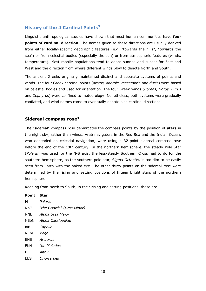#### **History of the 4 Cardinal Points<sup>3</sup>**

Linguistic anthropological studies have shown that most human communities have **four points of [cardinal direction.](http://en.wikipedia.org/wiki/Cardinal_direction)** The names given to these directions are usually derived from either locally-specific geographic features (e.g. "towards the hills", "towards the sea") or from celestial bodies (especially the sun) or from atmospheric features (winds, temperature). Most mobile populations tend to adopt sunrise and sunset for East and West and the direction from where different winds blow to denote North and South.

The [ancient Greeks](http://en.wikipedia.org/wiki/Ancient_Greek) originally maintained distinct and separate systems of points and winds. The four Greek [cardinal points](http://en.wikipedia.org/wiki/Cardinal_direction) (*arctos, anatole, mesembria* and *dusis*) were based on celestial bodies and used for orientation. The four Greek [winds](http://en.wikipedia.org/wiki/Anemoi) (*Boreas, Notos, Eurus* and *Zephyrus*) were confined to [meteorology.](http://en.wikipedia.org/wiki/Meteorology) Nonetheless, both systems were gradually conflated, and wind names came to eventually denote also cardinal directions.

#### **Sidereal compass rose<sup>4</sup>**

The "sidereal" compass rose demarcates the compass points by the position of **[stars](http://en.wikipedia.org/wiki/Star)** in the night sky, rather than winds. [Arab](http://en.wikipedia.org/wiki/Arab) navigators in the [Red Sea](http://en.wikipedia.org/wiki/Red_Sea) and the [Indian Ocean,](http://en.wikipedia.org/wiki/Indian_Ocean) who depended on [celestial navigation,](http://en.wikipedia.org/wiki/Celestial_navigation) were using a 32-point sidereal compass rose before the end of the 10th century. In the northern hemisphere, the steady Pole Star (*[Polaris](http://en.wikipedia.org/wiki/Polaris)*) was used for the N-S axis; the less-steady [Southern Cross](http://en.wikipedia.org/wiki/Southern_Cross) had to do for the southern hemisphere, as the southern pole star, *[Sigma Octantis](http://en.wikipedia.org/wiki/Sigma_Octantis)*, is too dim to be easily seen from Earth with the naked eye. The other thirty points on the sidereal rose were determined by the rising and setting positions of fifteen bright stars of the northern hemisphere.

Reading from North to South, in their rising and setting positions, these are:

| FUIIL       | эlaı                      |
|-------------|---------------------------|
| N           | Polaris                   |
| <b>NbE</b>  | "the Guards" (Ursa Minor) |
| NNE.        | Alpha Ursa Major          |
| NEbN        | Alpha Cassiopeiae         |
| <b>NE</b>   | Capella                   |
| <b>NEbE</b> | Vega                      |
| ENE         | Arcturus                  |
| EbN         | the Pleiades              |
| Е           | Altair                    |
| EbS         | Orion's belt              |
|             |                           |

**Point Star**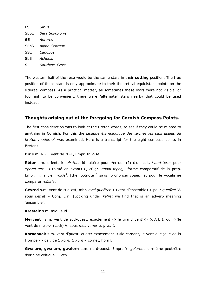| <b>ESE</b>             | <b>Sirius</b>          |
|------------------------|------------------------|
| <b>SE<sub>b</sub>E</b> | <b>Beta Scorpionis</b> |
| SΕ                     | Antares                |
| SEbS                   | Alpha Centauri         |
| SSE                    | Canopus                |
| SbE                    | Achenar                |
| s                      | Southern Cross         |

The western half of the rose would be the same stars in their **setting** position. The true position of these stars is only approximate to their theoretical equidistant points on the sidereal compass. As a practical matter, as sometimes these stars were not visible, or too high to be convenient, there were "alternate" stars nearby that could be used instead.

#### **Thoughts arising out of the foregoing for Cornish Compass Points.**

The first consideration was to look at the Breton words, to see if they could be related to anything in Cornish. For this the *Lexique étymologique des termes les plus usuels du breton moderne*<sup>5</sup> was examined. Here is a transcript for the eight compass points in Breton:

**Biz** s.m. N.-E, vent de N.-E, Empr. fr. *bise.*

**Réter** s.m. orient. ir. *air-ther* id: altéré pour \*er-der (?) d'un celt. \**aeri-tero-* pour \**parei-tero-* <<situé en avant>>, cf gr. *παροι-τερος*, forme comparatif de la prép. Empr. fr. ancien *roide<sup>3</sup>*. [the footnote <sup>3</sup> says: prononcer *roued*. et pour le vocalisme comparer *reùstla*.

**Gévred** s.m. vent de sud-est, mbr. *avel gueffret* <<vent d'ensemble>> pour *queffret* V. sous *kéfret* – Conj. Ern. [Looking under *kéfret* we find that is an adverb meaning 'ensemble',

**Kresteiz** s.m. midi, sud.

**Mervent** s.m. vent de sud-ouest. exactement <<le grand vent>> (d'Arb.), ou <<le vent de mer>> (Loth) V. sous *meùr, mor* et *gwent.*

**Kornaouek** s.m. vent d'puest, ouest: exactement <<le cornant, le vent que joue de la trompe>> dér. de 1 *korn.*[1 *korn* – cornet, horn].

**Gwalarn, gwalern, gwalorn** s.m. nord-ouest. Empr. fr. *galerne*, lui-même peut-être d'origine celtique – Loth.

11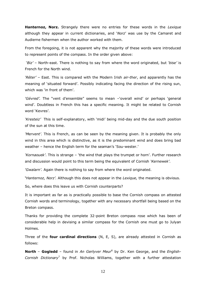**Hanternoz, Norz.** Strangely there were no entries for these words in the *Lexique* although they appear in current dictionaries, and '*Norz*' was use by the Camaret and Audierne fishermen when the author worked with them.

From the foregoing, it is not apparent why the majority of these words were introduced to represent points of the compass. In the order given above:

'*Biz'* – North-east. There is nothing to say from where the word originated, but *'bise'* is French for the North wind.

*'Réter'* – East. This is compared with the Modern Irish *air-ther*, and apparently has the meaning of 'situated forward'. Possibly indicating facing the direction of the rising sun, which was 'in front of them'.

*'Gévred'.* The "vent d'ensemble" seems to mean –'overall wind' or perhaps 'general wind'. Doubtless in French this has a specific meaning. It might be related to Cornish word 'Kevres'.

*'Kresteiz'* This is self-explanatory, with 'midi' being mid-day and the due south position of the sun at this time.

*'Mervent'.* This is French, as can be seen by the meaning given. It is probably the only wind in this area which is distinctive, as it is the predominant wind and does bring bad weather – hence the English term for the seaman's 'Sou-wester.'

*'Kornaouek'*. This is strange – 'the wind that plays the trumpet or horn'. Further research and discussion would point to this term being the equivalent of Cornish *'Kernewek'*.

*'Gwalarn'.* Again there is nothing to say from where the word originated.

**'***Hanternoz, Norz'.* Although this does not appear in the *Lexique,* the meaning is obvious.

So, where does this leave us with Cornish counterparts?

It is important as far as is practically possible to base the Cornish compass on attested Cornish words and terminology, together with any necessary shortfall being based on the Breton compass.

Thanks for providing the complete 32-point Breton compass rose which has been of considerable help in devising a similar compass for the Cornish one must go to Julyan Holmes.

Three of the **four cardinal directions** (N, E, S), are already attested in Cornish as follows:

**North** – **Gogledd** – found in *An Gerlyver Meur*<sup>6</sup> by Dr. Ken George, and the *English-Cornish Dictionary*<sup>7</sup> by Prof. Nicholas Williams, together with a further attestation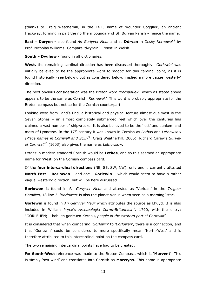(thanks to Craig Weatherhill) in the 1613 name of 'Vounder Gogglas', an ancient trackway, forming in part the northern boundary of St. Buryan Parish – hence the name.

**East** – **Duryen** - also found An Gerlyver Meur and as **Dùryan** in *Desky Kernowek*<sup>8</sup> by Prof. Nicholas Williams. Compare 'dwyrain' – 'east' in Welsh.

**South** – **Dyghow** - found in all dictionaries.

**West,** the remaining cardinal direction has been discussed thoroughly. *'Gorlewin'* was initially believed to be the appropriate word to 'adopt' for this cardinal point, as it is found historically (see below), but as considered below, implied a more vague 'westerly' direction.

The next obvious consideration was the Breton word *'Kornaouek'*, which as stated above appears to be the same as Cornish '*Kernewek'.* This word is probably appropriate for the Breton compass but not so for the Cornish counterpart.

Looking west from Land's End, a historical and physical feature almost due west is the Seven Stones – an almost completely submerged reef which over the centuries has claimed a vast number of shipwrecks. It is also believed to be the 'lost' and sunken land mass of Lyonesse. In the 17th century it was known in Cornish as *Lethas* and *Lethowsow (Place names in Cornwall and Scilly*<sup>9</sup> (Craig Weatherhill, 2005). Richard Carew's *Survey of Cornwall*<sup>10</sup> (1603) also gives the name as *Lethowsow.* 

*Lethas* in modern standard Cornish would be **Lethes**, and so this seemed an appropriate name for 'West' on the Cornish compass card.

Of the **four intercardinal directions** (NE, SE, SW, NW), only one is currently attested **North-East – Borlowen** – and one - **Gorlewin** – which would seem to have a rather vague 'westerly' direction, but will be here discussed.

**Borlowen** is found in *An Gerlyver Meur* and attested as 'Vurluan' in the *Tregear Homilies*, 18 line 3. *'Borlowen'* is also the planet Venus when seen as a morning 'star'.

**Gorlewin** is found in *An Gerlyver Meur* which attributes the source as Lhuyd. It is also included in William Pryce's *Archæologia Cornu-Britannica*<sup>11</sup> *.* 1790, with the entry: "GORLEUEN; – bobl en gorleuen Kernou, *people in the western part of Cornwall*"

It is considered that when comparing '*Gorlewin'* to '*Borlowan'*, there is a connection, and that 'Gorlewin' could be considered to more specifically mean 'North-West' and is therefore attributed to this intercardinal point on the compass card.

The two remaining intercardinal points have had to be created.

For **South-West** reference was made to the Breton Compass, which is **'Mervent'**. This is simply 'sea-wind' and translates into Cornish as **Morwyns**. This name is appropriate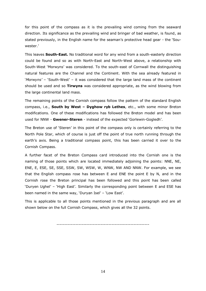for this point of the compass as it is the prevailing wind coming from the seaward direction. Its significance as the prevailing wind and bringer of bad weather, is found, as stated previously, in the English name for the seaman's protective head gear - the 'Souwester.'

This leaves **South-East.** No traditional word for any wind from a south-easterly direction could be found and so as with North-East and North-West above, a relationship with South-West 'Morwyns' was considered. To the south-east of Cornwall the distinguishing natural features are the Channel and the Continent. With the sea already featured in '*Morwyns'* – 'South-West' – it was considered that the large land mass of the continent should be used and so **Tirwyns** was considered appropriate, as the wind blowing from the large continental land mass.

The remaining points of the Cornish compass follow the pattern of the standard English compass, i.e., **South by West – Dyghow ryb Lethes**, etc., with some minor Breton modifications. One of these modifications has followed the Breton model and has been used for NNW - **Gwener-Steren** - instead of the expected 'Gorlewin-Gogledh'.

The Breton use of 'Steren' in this point of the compass only is certainly referring to the North Pole Star, which of course is just off the point of true north running through the earth's axis. Being a traditional compass point, this has been carried it over to the Cornish Compass.

A further facet of the Breton Compass card introduced into the Cornish one is the naming of those points which are located immediately adjoining the points: NNE, NE, ENE, E, ESE, SE, SSE, SSW, SW, WSW, W, WNW, NW AND NNW. For example, we see that the English compass rose has between E and ENE the point E by N, and in the Cornish rose the Breton principal has been followed and this point has been called 'Duryen Ughel' – 'High East'. Similarly the corresponding point between E and ESE has been named in the same way, 'Duryan Isel' – 'Low East'.

This is applicable to all those points mentioned in the previous paragraph and are all shown below on the full Cornish Compass, which gives all the 32 points.

-----------------------------------------------------------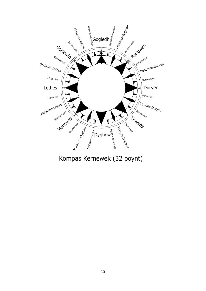

Kompas Kernewek (32 poynt)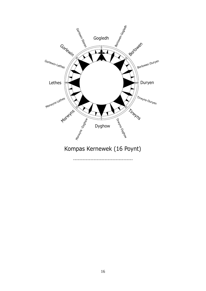